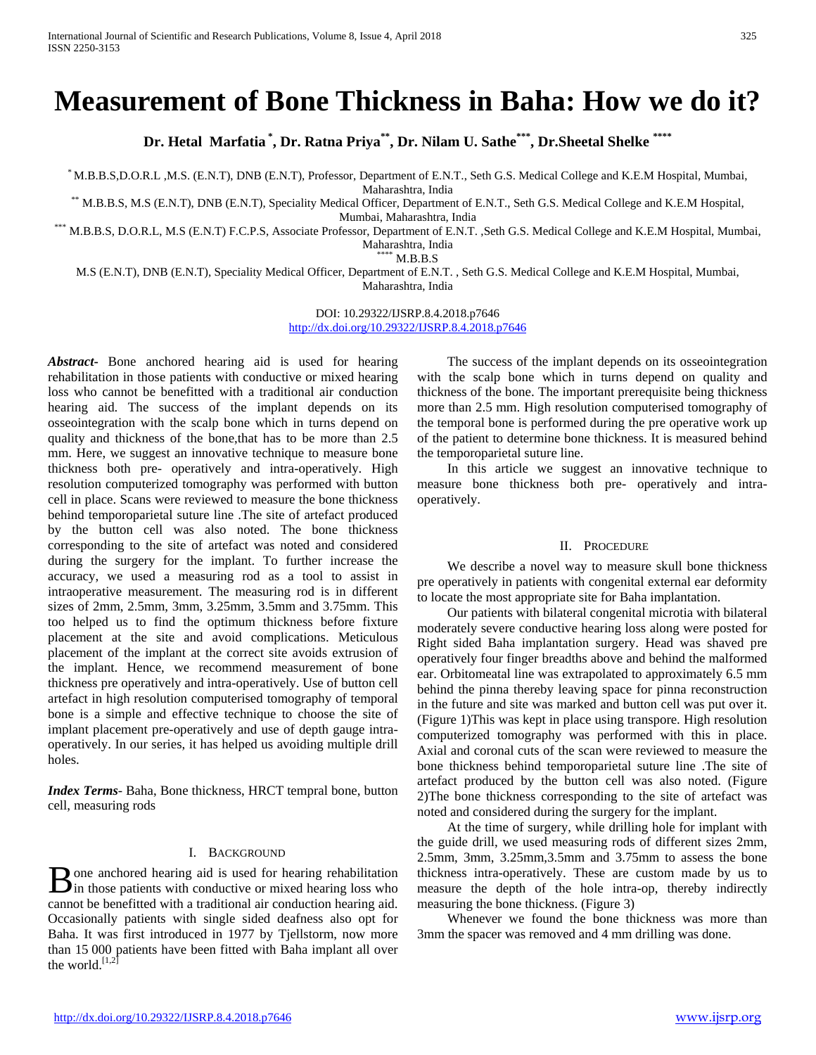# **Measurement of Bone Thickness in Baha: How we do it?**

**Dr. Hetal Marfatia \* , Dr. Ratna Priya\*\*, Dr. Nilam U. Sathe\*\*\* , Dr.Sheetal Shelke \*\*\*\***

\* M.B.B.S,D.O.R.L ,M.S. (E.N.T), DNB (E.N.T), Professor, Department of E.N.T., Seth G.S. Medical College and K.E.M Hospital, Mumbai,

Maharashtra, India<br>Maharashtra, India \*\*\* M.B.B.S, M.S (E.N.T), DNB (E.N.T), Speciality Medical Officer, Department of E.N.T., Seth G.S. Medical College and K.E.M Hospital,

Mumbai, Maharashtra, India<br>M.B.B.S, D.O.R.L, M.S (E.N.T) F.C.P.S, Associate Professor, Department of E.N.T. ,Seth G.S. Medical College and K.E.M Hospital, Mumbai, Maharashtra, India \*\*\*\* M.B.B.S

M.S (E.N.T), DNB (E.N.T), Speciality Medical Officer, Department of E.N.T. , Seth G.S. Medical College and K.E.M Hospital, Mumbai, Maharashtra, India

> DOI: 10.29322/IJSRP.8.4.2018.p7646 <http://dx.doi.org/10.29322/IJSRP.8.4.2018.p7646>

*Abstract***-** Bone anchored hearing aid is used for hearing rehabilitation in those patients with conductive or mixed hearing loss who cannot be benefitted with a traditional air conduction hearing aid. The success of the implant depends on its osseointegration with the scalp bone which in turns depend on quality and thickness of the bone,that has to be more than 2.5 mm. Here, we suggest an innovative technique to measure bone thickness both pre- operatively and intra-operatively. High resolution computerized tomography was performed with button cell in place. Scans were reviewed to measure the bone thickness behind temporoparietal suture line .The site of artefact produced by the button cell was also noted. The bone thickness corresponding to the site of artefact was noted and considered during the surgery for the implant. To further increase the accuracy, we used a measuring rod as a tool to assist in intraoperative measurement. The measuring rod is in different sizes of 2mm, 2.5mm, 3mm, 3.25mm, 3.5mm and 3.75mm. This too helped us to find the optimum thickness before fixture placement at the site and avoid complications. Meticulous placement of the implant at the correct site avoids extrusion of the implant. Hence, we recommend measurement of bone thickness pre operatively and intra-operatively. Use of button cell artefact in high resolution computerised tomography of temporal bone is a simple and effective technique to choose the site of implant placement pre-operatively and use of depth gauge intraoperatively. In our series, it has helped us avoiding multiple drill holes.

*Index Terms*- Baha, Bone thickness, HRCT tempral bone, button cell, measuring rods

## I. BACKGROUND

one anchored hearing aid is used for hearing rehabilitation **B** one anchored hearing aid is used for hearing rehabilitation in those patients with conductive or mixed hearing loss who cannot be benefitted with a traditional air conduction hearing aid. Occasionally patients with single sided deafness also opt for Baha. It was first introduced in 1977 by Tjellstorm, now more than 15 000 patients have been fitted with Baha implant all over the world. $[1,2]$ 

 The success of the implant depends on its osseointegration with the scalp bone which in turns depend on quality and thickness of the bone. The important prerequisite being thickness more than 2.5 mm. High resolution computerised tomography of the temporal bone is performed during the pre operative work up of the patient to determine bone thickness. It is measured behind the temporoparietal suture line.

 In this article we suggest an innovative technique to measure bone thickness both pre- operatively and intraoperatively.

### II. PROCEDURE

 We describe a novel way to measure skull bone thickness pre operatively in patients with congenital external ear deformity to locate the most appropriate site for Baha implantation.

 Our patients with bilateral congenital microtia with bilateral moderately severe conductive hearing loss along were posted for Right sided Baha implantation surgery. Head was shaved pre operatively four finger breadths above and behind the malformed ear. Orbitomeatal line was extrapolated to approximately 6.5 mm behind the pinna thereby leaving space for pinna reconstruction in the future and site was marked and button cell was put over it. (Figure 1)This was kept in place using transpore. High resolution computerized tomography was performed with this in place. Axial and coronal cuts of the scan were reviewed to measure the bone thickness behind temporoparietal suture line .The site of artefact produced by the button cell was also noted. (Figure 2)The bone thickness corresponding to the site of artefact was noted and considered during the surgery for the implant.

 At the time of surgery, while drilling hole for implant with the guide drill, we used measuring rods of different sizes 2mm, 2.5mm, 3mm, 3.25mm,3.5mm and 3.75mm to assess the bone thickness intra-operatively. These are custom made by us to measure the depth of the hole intra-op, thereby indirectly measuring the bone thickness. (Figure 3)

 Whenever we found the bone thickness was more than 3mm the spacer was removed and 4 mm drilling was done.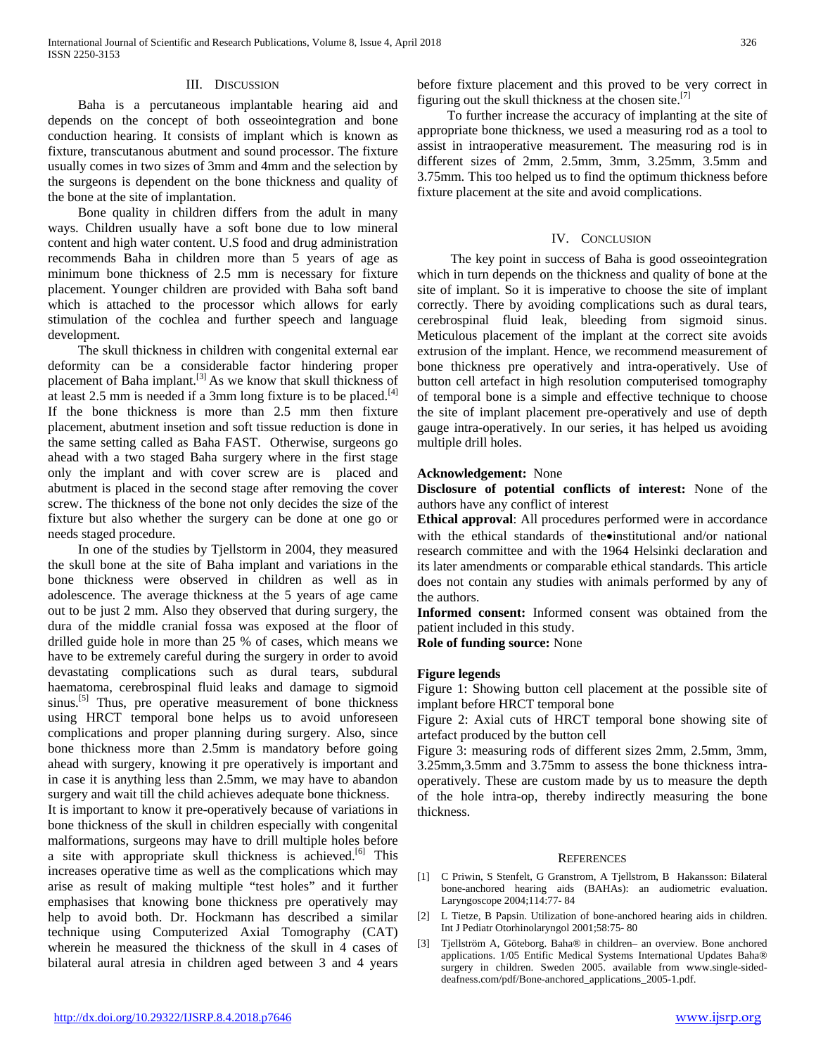## III. DISCUSSION

 Baha is a percutaneous implantable hearing aid and depends on the concept of both osseointegration and bone conduction hearing. It consists of implant which is known as fixture, transcutanous abutment and sound processor. The fixture usually comes in two sizes of 3mm and 4mm and the selection by the surgeons is dependent on the bone thickness and quality of the bone at the site of implantation.

 Bone quality in children differs from the adult in many ways. Children usually have a soft bone due to low mineral content and high water content. U.S food and drug administration recommends Baha in children more than 5 years of age as minimum bone thickness of 2.5 mm is necessary for fixture placement. Younger children are provided with Baha soft band which is attached to the processor which allows for early stimulation of the cochlea and further speech and language development.

 The skull thickness in children with congenital external ear deformity can be a considerable factor hindering proper placement of Baha implant.<sup>[3]</sup> As we know that skull thickness of at least 2.5 mm is needed if a 3mm long fixture is to be placed.<sup>[4]</sup> If the bone thickness is more than 2.5 mm then fixture placement, abutment insetion and soft tissue reduction is done in the same setting called as Baha FAST. Otherwise, surgeons go ahead with a two staged Baha surgery where in the first stage only the implant and with cover screw are is placed and abutment is placed in the second stage after removing the cover screw. The thickness of the bone not only decides the size of the fixture but also whether the surgery can be done at one go or needs staged procedure.

 In one of the studies by Tjellstorm in 2004, they measured the skull bone at the site of Baha implant and variations in the bone thickness were observed in children as well as in adolescence. The average thickness at the 5 years of age came out to be just 2 mm. Also they observed that during surgery, the dura of the middle cranial fossa was exposed at the floor of drilled guide hole in more than 25 % of cases, which means we have to be extremely careful during the surgery in order to avoid devastating complications such as dural tears, subdural haematoma, cerebrospinal fluid leaks and damage to sigmoid sinus.<sup>[5]</sup> Thus, pre operative measurement of bone thickness using HRCT temporal bone helps us to avoid unforeseen complications and proper planning during surgery. Also, since bone thickness more than 2.5mm is mandatory before going ahead with surgery, knowing it pre operatively is important and in case it is anything less than 2.5mm, we may have to abandon surgery and wait till the child achieves adequate bone thickness.

It is important to know it pre-operatively because of variations in bone thickness of the skull in children especially with congenital malformations, surgeons may have to drill multiple holes before a site with appropriate skull thickness is achieved.<sup>[6]</sup> This increases operative time as well as the complications which may arise as result of making multiple "test holes" and it further emphasises that knowing bone thickness pre operatively may help to avoid both. Dr. Hockmann has described a similar technique using Computerized Axial Tomography (CAT) wherein he measured the thickness of the skull in 4 cases of bilateral aural atresia in children aged between 3 and 4 years

<http://dx.doi.org/10.29322/IJSRP.8.4.2018.p7646> [www.ijsrp.org](http://ijsrp.org/)

before fixture placement and this proved to be very correct in figuring out the skull thickness at the chosen site.<sup>[7]</sup>

 To further increase the accuracy of implanting at the site of appropriate bone thickness, we used a measuring rod as a tool to assist in intraoperative measurement. The measuring rod is in different sizes of 2mm, 2.5mm, 3mm, 3.25mm, 3.5mm and 3.75mm. This too helped us to find the optimum thickness before fixture placement at the site and avoid complications.

#### IV. CONCLUSION

 The key point in success of Baha is good osseointegration which in turn depends on the thickness and quality of bone at the site of implant. So it is imperative to choose the site of implant correctly. There by avoiding complications such as dural tears, cerebrospinal fluid leak, bleeding from sigmoid sinus. Meticulous placement of the implant at the correct site avoids extrusion of the implant. Hence, we recommend measurement of bone thickness pre operatively and intra-operatively. Use of button cell artefact in high resolution computerised tomography of temporal bone is a simple and effective technique to choose the site of implant placement pre-operatively and use of depth gauge intra-operatively. In our series, it has helped us avoiding multiple drill holes.

#### **Acknowledgement:** None

**Disclosure of potential conflicts of interest:** None of the authors have any conflict of interest

**Ethical approval**: All procedures performed were in accordance with the ethical standards of the•institutional and/or national research committee and with the 1964 Helsinki declaration and its later amendments or comparable ethical standards. This article does not contain any studies with animals performed by any of the authors.

**Informed consent:** Informed consent was obtained from the patient included in this study.

**Role of funding source:** None

#### **Figure legends**

Figure 1: Showing button cell placement at the possible site of implant before HRCT temporal bone

Figure 2: Axial cuts of HRCT temporal bone showing site of artefact produced by the button cell

Figure 3: measuring rods of different sizes 2mm, 2.5mm, 3mm, 3.25mm,3.5mm and 3.75mm to assess the bone thickness intraoperatively. These are custom made by us to measure the depth of the hole intra-op, thereby indirectly measuring the bone thickness.

#### **REFERENCES**

- [1] C Priwin, S Stenfelt, G Granstrom, A Tjellstrom, B Hakansson: Bilateral bone-anchored hearing aids (BAHAs): an audiometric evaluation. Laryngoscope 2004;114:77- 84
- [2] L Tietze, B Papsin. Utilization of bone-anchored hearing aids in children. Int J Pediatr Otorhinolaryngol 2001;58:75- 80
- [3] Tjellström A, Göteborg. Baha® in children– an overview. Bone anchored applications. 1/05 Entific Medical Systems International Updates Baha® surgery in children. Sweden 2005. available from www.single-sideddeafness.com/pdf/Bone-anchored\_applications\_2005-1.pdf.